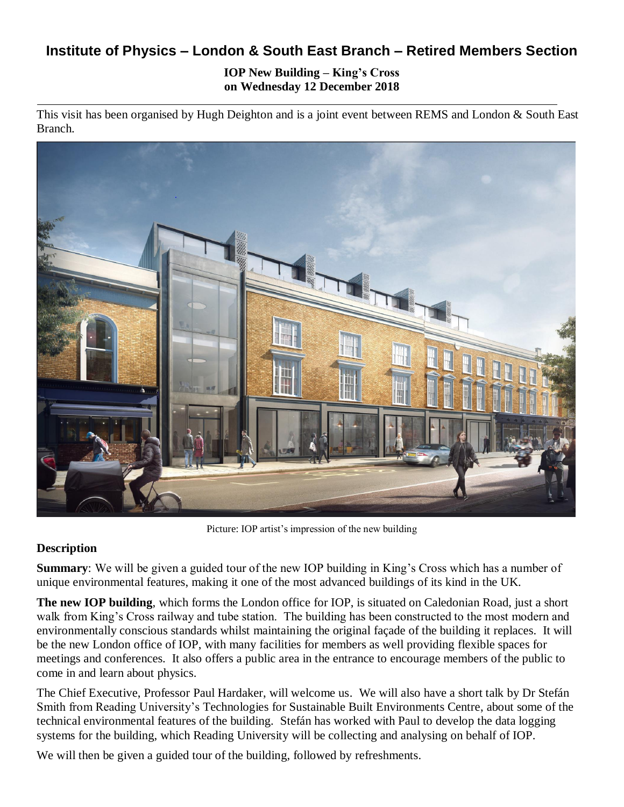# **Institute of Physics – London & South East Branch – Retired Members Section**

**IOP New Building – King's Cross on Wednesday 12 December 2018**

This visit has been organised by Hugh Deighton and is a joint event between REMS and London & South East Branch.



Picture: IOP artist's impression of the new building

## **Description**

**Summary**: We will be given a guided tour of the new IOP building in King's Cross which has a number of unique environmental features, making it one of the most advanced buildings of its kind in the UK.

**The new IOP building**, which forms the London office for IOP, is situated on Caledonian Road, just a short walk from King's Cross railway and tube station. The building has been constructed to the most modern and environmentally conscious standards whilst maintaining the original façade of the building it replaces. It will be the new London office of IOP, with many facilities for members as well providing flexible spaces for meetings and conferences. It also offers a public area in the entrance to encourage members of the public to come in and learn about physics.

The Chief Executive, Professor Paul Hardaker, will welcome us. We will also have a short talk by Dr Stefán Smith from Reading University's Technologies for Sustainable Built Environments Centre, about some of the technical environmental features of the building. Stefán has worked with Paul to develop the data logging systems for the building, which Reading University will be collecting and analysing on behalf of IOP.

We will then be given a guided tour of the building, followed by refreshments.